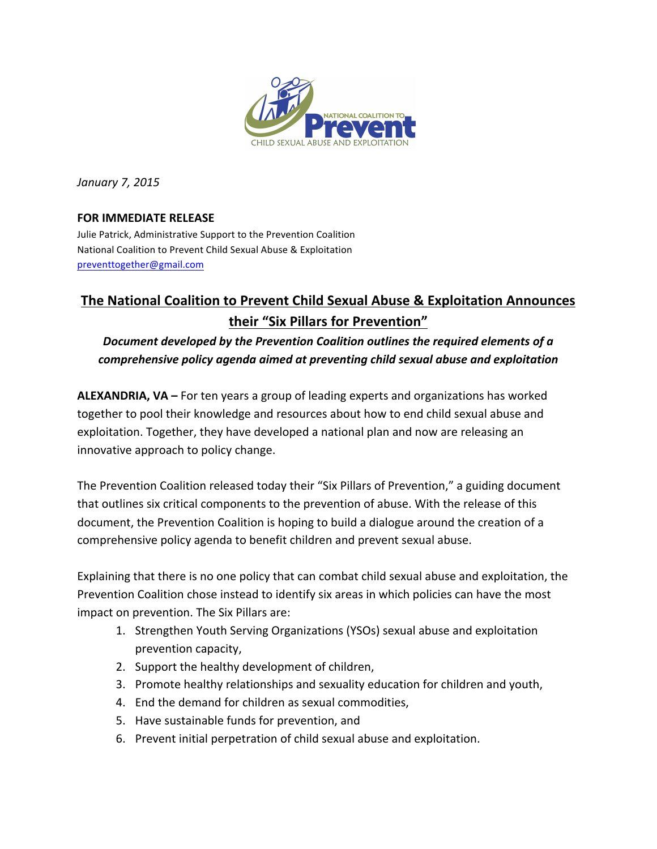

*January 7, 2015*

## **FOR IMMEDIATE RELEASE**

Julie Patrick, Administrative Support to the Prevention Coalition National Coalition to Prevent Child Sexual Abuse & Exploitation preventtogether@gmail.com

## **The National Coalition to Prevent Child Sexual Abuse & Exploitation Announces their "Six Pillars for Prevention"**

## Document developed by the Prevention Coalition outlines the required elements of a comprehensive policy agenda aimed at preventing child sexual abuse and exploitation

**ALEXANDRIA, VA** – For ten years a group of leading experts and organizations has worked together to pool their knowledge and resources about how to end child sexual abuse and exploitation. Together, they have developed a national plan and now are releasing an innovative approach to policy change.

The Prevention Coalition released today their "Six Pillars of Prevention," a guiding document that outlines six critical components to the prevention of abuse. With the release of this document, the Prevention Coalition is hoping to build a dialogue around the creation of a comprehensive policy agenda to benefit children and prevent sexual abuse.

Explaining that there is no one policy that can combat child sexual abuse and exploitation, the Prevention Coalition chose instead to identify six areas in which policies can have the most impact on prevention. The Six Pillars are:

- 1. Strengthen Youth Serving Organizations (YSOs) sexual abuse and exploitation prevention capacity,
- 2. Support the healthy development of children,
- 3. Promote healthy relationships and sexuality education for children and youth,
- 4. End the demand for children as sexual commodities,
- 5. Have sustainable funds for prevention, and
- 6. Prevent initial perpetration of child sexual abuse and exploitation.